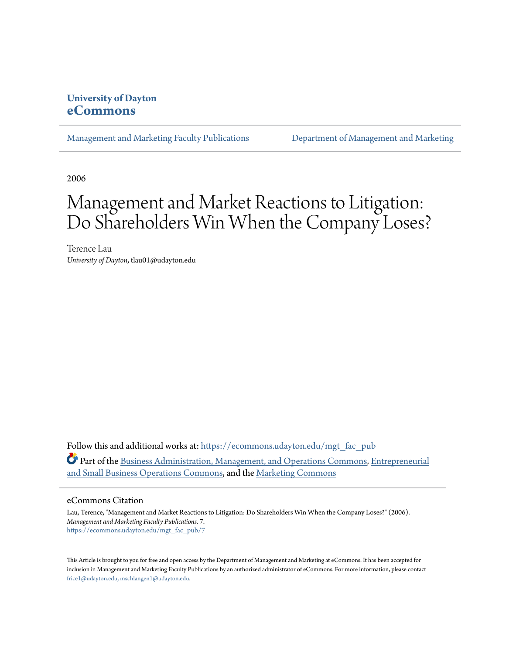#### **University of Dayton [eCommons](https://ecommons.udayton.edu?utm_source=ecommons.udayton.edu%2Fmgt_fac_pub%2F7&utm_medium=PDF&utm_campaign=PDFCoverPages)**

[Management and Marketing Faculty Publications](https://ecommons.udayton.edu/mgt_fac_pub?utm_source=ecommons.udayton.edu%2Fmgt_fac_pub%2F7&utm_medium=PDF&utm_campaign=PDFCoverPages) [Department of Management and Marketing](https://ecommons.udayton.edu/mgt?utm_source=ecommons.udayton.edu%2Fmgt_fac_pub%2F7&utm_medium=PDF&utm_campaign=PDFCoverPages)

2006

# Management and Market Reactions to Litigation: Do Shareholders Win When the Company Loses?

Terence Lau *University of Dayton*, tlau01@udayton.edu

Follow this and additional works at: [https://ecommons.udayton.edu/mgt\\_fac\\_pub](https://ecommons.udayton.edu/mgt_fac_pub?utm_source=ecommons.udayton.edu%2Fmgt_fac_pub%2F7&utm_medium=PDF&utm_campaign=PDFCoverPages) **Part of the [Business Administration, Management, and Operations Commons](http://network.bepress.com/hgg/discipline/623?utm_source=ecommons.udayton.edu%2Fmgt_fac_pub%2F7&utm_medium=PDF&utm_campaign=PDFCoverPages), [Entrepreneurial](http://network.bepress.com/hgg/discipline/630?utm_source=ecommons.udayton.edu%2Fmgt_fac_pub%2F7&utm_medium=PDF&utm_campaign=PDFCoverPages)** [and Small Business Operations Commons,](http://network.bepress.com/hgg/discipline/630?utm_source=ecommons.udayton.edu%2Fmgt_fac_pub%2F7&utm_medium=PDF&utm_campaign=PDFCoverPages) and the [Marketing Commons](http://network.bepress.com/hgg/discipline/638?utm_source=ecommons.udayton.edu%2Fmgt_fac_pub%2F7&utm_medium=PDF&utm_campaign=PDFCoverPages)

#### eCommons Citation

Lau, Terence, "Management and Market Reactions to Litigation: Do Shareholders Win When the Company Loses?" (2006). *Management and Marketing Faculty Publications*. 7. [https://ecommons.udayton.edu/mgt\\_fac\\_pub/7](https://ecommons.udayton.edu/mgt_fac_pub/7?utm_source=ecommons.udayton.edu%2Fmgt_fac_pub%2F7&utm_medium=PDF&utm_campaign=PDFCoverPages)

This Article is brought to you for free and open access by the Department of Management and Marketing at eCommons. It has been accepted for inclusion in Management and Marketing Faculty Publications by an authorized administrator of eCommons. For more information, please contact [frice1@udayton.edu, mschlangen1@udayton.edu.](mailto:frice1@udayton.edu,%20mschlangen1@udayton.edu)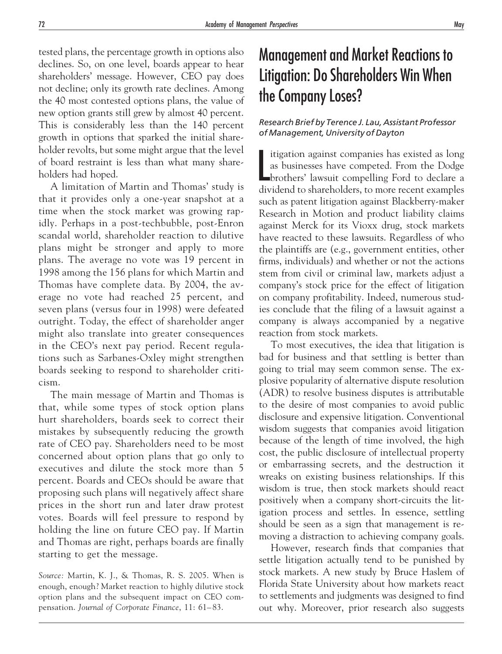tested plans, the percentage growth in options also declines. So, on one level, boards appear to hear shareholders' message. However, CEO pay does not decline; only its growth rate declines. Among the 40 most contested options plans, the value of new option grants still grew by almost 40 percent. This is considerably less than the 140 percent growth in options that sparked the initial shareholder revolts, but some might argue that the level of board restraint is less than what many shareholders had hoped.

A limitation of Martin and Thomas' study is that it provides only a one-year snapshot at a time when the stock market was growing rapidly. Perhaps in a post-techbubble, post-Enron scandal world, shareholder reaction to dilutive plans might be stronger and apply to more plans. The average no vote was 19 percent in 1998 among the 156 plans for which Martin and Thomas have complete data. By 2004, the average no vote had reached 25 percent, and seven plans (versus four in 1998) were defeated outright. Today, the effect of shareholder anger might also translate into greater consequences in the CEO's next pay period. Recent regulations such as Sarbanes-Oxley might strengthen boards seeking to respond to shareholder criticism.

The main message of Martin and Thomas is that, while some types of stock option plans hurt shareholders, boards seek to correct their mistakes by subsequently reducing the growth rate of CEO pay. Shareholders need to be most concerned about option plans that go only to executives and dilute the stock more than 5 percent. Boards and CEOs should be aware that proposing such plans will negatively affect share prices in the short run and later draw protest votes. Boards will feel pressure to respond by holding the line on future CEO pay. If Martin and Thomas are right, perhaps boards are finally starting to get the message.

*Source:* Martin, K. J., & Thomas, R. S. 2005. When is enough, enough? Market reaction to highly dilutive stock option plans and the subsequent impact on CEO compensation. *Journal of Corporate Finance*, 11: 61–83.

## Management and Market Reactions to Litigation: Do Shareholders Win When the Company Loses?

#### *Research Brief by Terence J. Lau, Assistant Professor of Management, University of Dayton*

 $\overline{\mathbf{L}}$ itigation against companies has existed as long as businesses have competed. From the Dodge brothers' lawsuit compelling Ford to declare a dividend to shareholders, to more recent examples such as patent litigation against Blackberry-maker Research in Motion and product liability claims against Merck for its Vioxx drug, stock markets have reacted to these lawsuits. Regardless of who the plaintiffs are (e.g., government entities, other firms, individuals) and whether or not the actions stem from civil or criminal law, markets adjust a company's stock price for the effect of litigation on company profitability. Indeed, numerous studies conclude that the filing of a lawsuit against a company is always accompanied by a negative reaction from stock markets.

To most executives, the idea that litigation is bad for business and that settling is better than going to trial may seem common sense. The explosive popularity of alternative dispute resolution (ADR) to resolve business disputes is attributable to the desire of most companies to avoid public disclosure and expensive litigation. Conventional wisdom suggests that companies avoid litigation because of the length of time involved, the high cost, the public disclosure of intellectual property or embarrassing secrets, and the destruction it wreaks on existing business relationships. If this wisdom is true, then stock markets should react positively when a company short-circuits the litigation process and settles. In essence, settling should be seen as a sign that management is removing a distraction to achieving company goals.

However, research finds that companies that settle litigation actually tend to be punished by stock markets. A new study by Bruce Haslem of Florida State University about how markets react to settlements and judgments was designed to find out why. Moreover, prior research also suggests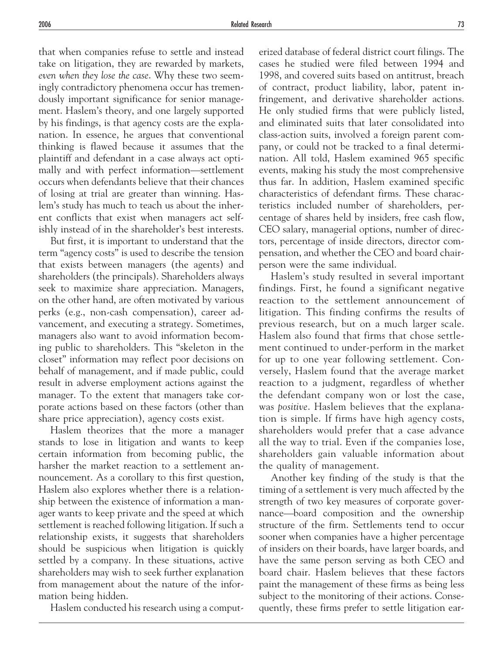that when companies refuse to settle and instead take on litigation, they are rewarded by markets, *even when they lose the case*. Why these two seemingly contradictory phenomena occur has tremendously important significance for senior management. Haslem's theory, and one largely supported by his findings, is that agency costs are the explanation. In essence, he argues that conventional thinking is flawed because it assumes that the plaintiff and defendant in a case always act optimally and with perfect information—settlement occurs when defendants believe that their chances of losing at trial are greater than winning. Haslem's study has much to teach us about the inherent conflicts that exist when managers act selfishly instead of in the shareholder's best interests.

But first, it is important to understand that the term "agency costs" is used to describe the tension that exists between managers (the agents) and shareholders (the principals). Shareholders always seek to maximize share appreciation. Managers, on the other hand, are often motivated by various perks (e.g., non-cash compensation), career advancement, and executing a strategy. Sometimes, managers also want to avoid information becoming public to shareholders. This "skeleton in the closet" information may reflect poor decisions on behalf of management, and if made public, could result in adverse employment actions against the manager. To the extent that managers take corporate actions based on these factors (other than share price appreciation), agency costs exist.

Haslem theorizes that the more a manager stands to lose in litigation and wants to keep certain information from becoming public, the harsher the market reaction to a settlement announcement. As a corollary to this first question, Haslem also explores whether there is a relationship between the existence of information a manager wants to keep private and the speed at which settlement is reached following litigation. If such a relationship exists, it suggests that shareholders should be suspicious when litigation is quickly settled by a company. In these situations, active shareholders may wish to seek further explanation from management about the nature of the information being hidden.

Haslem conducted his research using a comput-

erized database of federal district court filings. The cases he studied were filed between 1994 and 1998, and covered suits based on antitrust, breach of contract, product liability, labor, patent infringement, and derivative shareholder actions. He only studied firms that were publicly listed, and eliminated suits that later consolidated into class-action suits, involved a foreign parent company, or could not be tracked to a final determination. All told, Haslem examined 965 specific events, making his study the most comprehensive thus far. In addition, Haslem examined specific characteristics of defendant firms. These characteristics included number of shareholders, percentage of shares held by insiders, free cash flow, CEO salary, managerial options, number of directors, percentage of inside directors, director compensation, and whether the CEO and board chairperson were the same individual.

Haslem's study resulted in several important findings. First, he found a significant negative reaction to the settlement announcement of litigation. This finding confirms the results of previous research, but on a much larger scale. Haslem also found that firms that chose settlement continued to under-perform in the market for up to one year following settlement. Conversely, Haslem found that the average market reaction to a judgment, regardless of whether the defendant company won or lost the case, was *positive*. Haslem believes that the explanation is simple. If firms have high agency costs, shareholders would prefer that a case advance all the way to trial. Even if the companies lose, shareholders gain valuable information about the quality of management.

Another key finding of the study is that the timing of a settlement is very much affected by the strength of two key measures of corporate governance—board composition and the ownership structure of the firm. Settlements tend to occur sooner when companies have a higher percentage of insiders on their boards, have larger boards, and have the same person serving as both CEO and board chair. Haslem believes that these factors paint the management of these firms as being less subject to the monitoring of their actions. Consequently, these firms prefer to settle litigation ear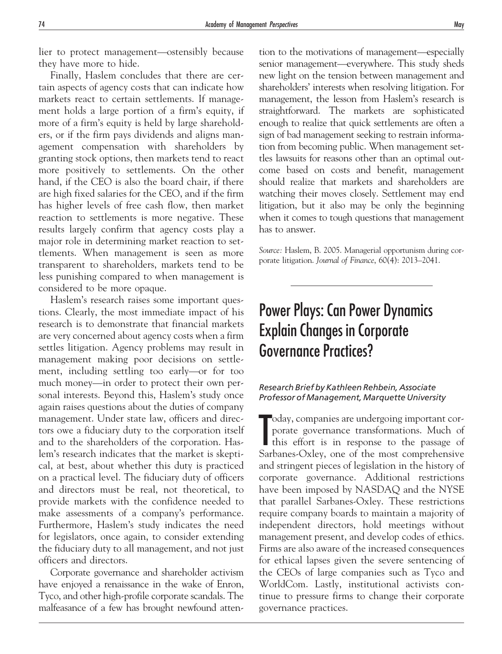lier to protect management—ostensibly because they have more to hide.

Finally, Haslem concludes that there are certain aspects of agency costs that can indicate how markets react to certain settlements. If management holds a large portion of a firm's equity, if more of a firm's equity is held by large shareholders, or if the firm pays dividends and aligns management compensation with shareholders by granting stock options, then markets tend to react more positively to settlements. On the other hand, if the CEO is also the board chair, if there are high fixed salaries for the CEO, and if the firm has higher levels of free cash flow, then market reaction to settlements is more negative. These results largely confirm that agency costs play a major role in determining market reaction to settlements. When management is seen as more transparent to shareholders, markets tend to be less punishing compared to when management is considered to be more opaque.

Haslem's research raises some important questions. Clearly, the most immediate impact of his research is to demonstrate that financial markets are very concerned about agency costs when a firm settles litigation. Agency problems may result in management making poor decisions on settlement, including settling too early—or for too much money—in order to protect their own personal interests. Beyond this, Haslem's study once again raises questions about the duties of company management. Under state law, officers and directors owe a fiduciary duty to the corporation itself and to the shareholders of the corporation. Haslem's research indicates that the market is skeptical, at best, about whether this duty is practiced on a practical level. The fiduciary duty of officers and directors must be real, not theoretical, to provide markets with the confidence needed to make assessments of a company's performance. Furthermore, Haslem's study indicates the need for legislators, once again, to consider extending the fiduciary duty to all management, and not just officers and directors.

Corporate governance and shareholder activism have enjoyed a renaissance in the wake of Enron, Tyco, and other high-profile corporate scandals. The malfeasance of a few has brought newfound attention to the motivations of management—especially senior management—everywhere. This study sheds new light on the tension between management and shareholders' interests when resolving litigation. For management, the lesson from Haslem's research is straightforward. The markets are sophisticated enough to realize that quick settlements are often a sign of bad management seeking to restrain information from becoming public. When management settles lawsuits for reasons other than an optimal outcome based on costs and benefit, management should realize that markets and shareholders are watching their moves closely. Settlement may end litigation, but it also may be only the beginning when it comes to tough questions that management has to answer.

*Source:* Haslem, B. 2005. Managerial opportunism during corporate litigation. *Journal of Finance*, 60(4): 2013–2041.

### Power Plays: Can Power Dynamics Explain Changes in Corporate Governance Practices?

*Research Brief by Kathleen Rehbein, Associate Professor of Management, Marquette University*

Today, companies are undergoing important cor-<br>porate governance transformations. Much of<br>this effort is in response to the passage of<br>Sarbanes Oxley, one of the most comprehensive porate governance transformations. Much of If this effort is in response to the passage of Sarbanes-Oxley, one of the most comprehensive and stringent pieces of legislation in the history of corporate governance. Additional restrictions have been imposed by NASDAQ and the NYSE that parallel Sarbanes-Oxley. These restrictions require company boards to maintain a majority of independent directors, hold meetings without management present, and develop codes of ethics. Firms are also aware of the increased consequences for ethical lapses given the severe sentencing of the CEOs of large companies such as Tyco and WorldCom. Lastly, institutional activists continue to pressure firms to change their corporate governance practices.